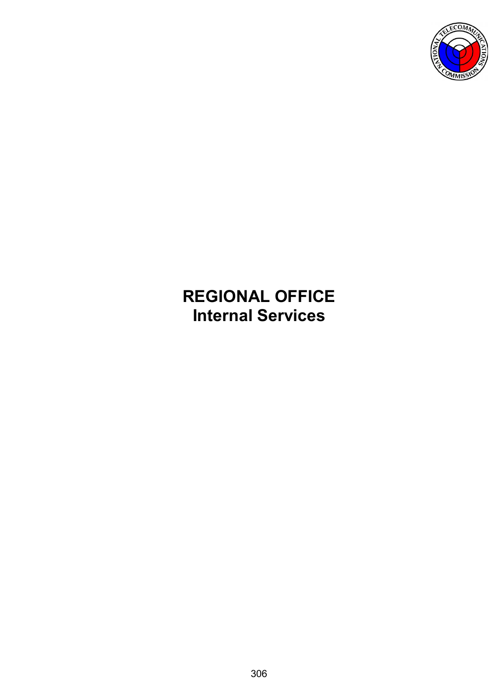

# **REGIONAL OFFICE Internal Services**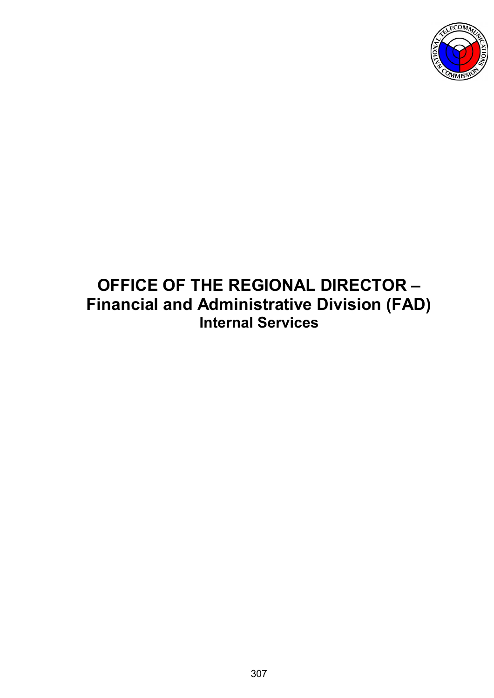

# **OFFICE OF THE REGIONAL DIRECTOR – Financial and Administrative Division (FAD) Internal Services**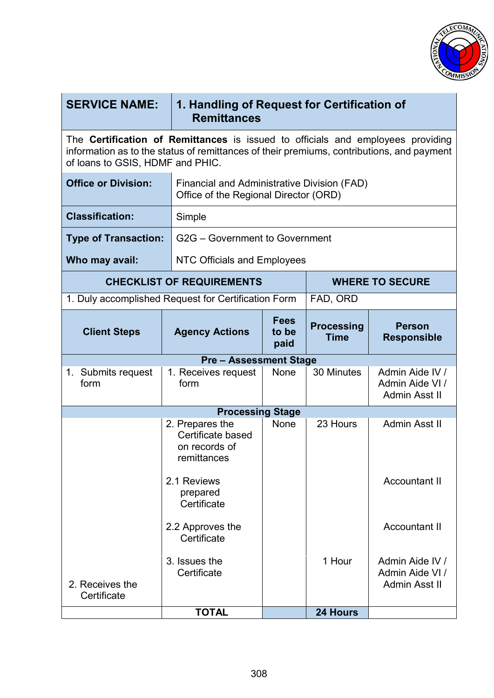

| <b>SERVICE NAME:</b>                                                                                                                                                                                                    | <b>Remittances</b>                                                                   | 1. Handling of Request for Certification of |                                  |                                                     |  |
|-------------------------------------------------------------------------------------------------------------------------------------------------------------------------------------------------------------------------|--------------------------------------------------------------------------------------|---------------------------------------------|----------------------------------|-----------------------------------------------------|--|
| The <b>Certification of Remittances</b> is issued to officials and employees providing<br>information as to the status of remittances of their premiums, contributions, and payment<br>of loans to GSIS, HDMF and PHIC. |                                                                                      |                                             |                                  |                                                     |  |
| <b>Office or Division:</b>                                                                                                                                                                                              | Financial and Administrative Division (FAD)<br>Office of the Regional Director (ORD) |                                             |                                  |                                                     |  |
| <b>Classification:</b>                                                                                                                                                                                                  | Simple                                                                               |                                             |                                  |                                                     |  |
| <b>Type of Transaction:</b>                                                                                                                                                                                             | G2G – Government to Government                                                       |                                             |                                  |                                                     |  |
| Who may avail:                                                                                                                                                                                                          | <b>NTC Officials and Employees</b>                                                   |                                             |                                  |                                                     |  |
|                                                                                                                                                                                                                         | <b>CHECKLIST OF REQUIREMENTS</b>                                                     |                                             |                                  | <b>WHERE TO SECURE</b>                              |  |
|                                                                                                                                                                                                                         | 1. Duly accomplished Request for Certification Form<br>FAD, ORD                      |                                             |                                  |                                                     |  |
| <b>Client Steps</b>                                                                                                                                                                                                     | <b>Agency Actions</b>                                                                | <b>Fees</b><br>to be<br>paid                | <b>Processing</b><br><b>Time</b> | <b>Person</b><br><b>Responsible</b>                 |  |
|                                                                                                                                                                                                                         | <b>Pre - Assessment Stage</b>                                                        |                                             |                                  |                                                     |  |
| 1. Submits request<br>form                                                                                                                                                                                              | 1. Receives request<br>form                                                          | <b>None</b>                                 | 30 Minutes                       | Admin Aide IV /<br>Admin Aide VI /<br>Admin Asst II |  |
|                                                                                                                                                                                                                         | <b>Processing Stage</b>                                                              |                                             |                                  |                                                     |  |
|                                                                                                                                                                                                                         | 2. Prepares the<br>Certificate based<br>on records of<br>remittances                 | <b>None</b>                                 | 23 Hours                         | Admin Asst II                                       |  |
|                                                                                                                                                                                                                         | 2.1 Reviews<br>prepared<br>Certificate                                               |                                             |                                  | <b>Accountant II</b>                                |  |
|                                                                                                                                                                                                                         | 2.2 Approves the<br>Certificate                                                      |                                             |                                  | <b>Accountant II</b>                                |  |
| 2. Receives the<br>Certificate                                                                                                                                                                                          | 3. Issues the<br>Certificate<br><b>TOTAL</b>                                         |                                             | 1 Hour<br>24 Hours               | Admin Aide IV /<br>Admin Aide VI /<br>Admin Asst II |  |
|                                                                                                                                                                                                                         |                                                                                      |                                             |                                  |                                                     |  |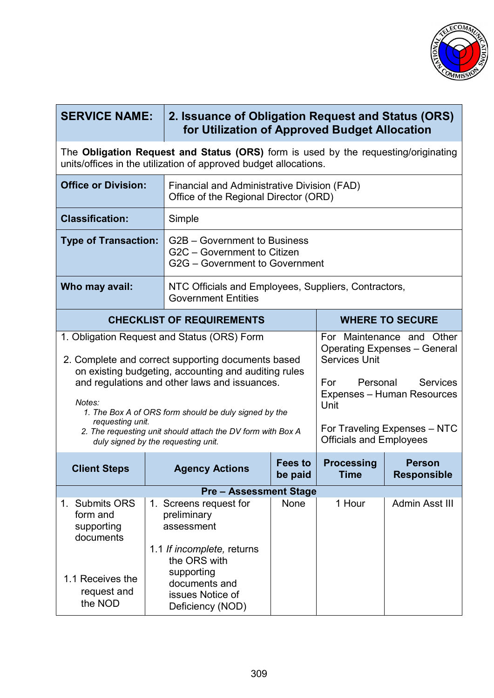

| <b>SERVICE NAME:</b>                                                                                                                                   |  | 2. Issuance of Obligation Request and Status (ORS)<br>for Utilization of Approved Budget Allocation                                                                                                                                                                                                                                                                       |                           |                                                                                   |                                                                                                                                                          |
|--------------------------------------------------------------------------------------------------------------------------------------------------------|--|---------------------------------------------------------------------------------------------------------------------------------------------------------------------------------------------------------------------------------------------------------------------------------------------------------------------------------------------------------------------------|---------------------------|-----------------------------------------------------------------------------------|----------------------------------------------------------------------------------------------------------------------------------------------------------|
| The Obligation Request and Status (ORS) form is used by the requesting/originating<br>units/offices in the utilization of approved budget allocations. |  |                                                                                                                                                                                                                                                                                                                                                                           |                           |                                                                                   |                                                                                                                                                          |
| <b>Office or Division:</b>                                                                                                                             |  | Financial and Administrative Division (FAD)<br>Office of the Regional Director (ORD)                                                                                                                                                                                                                                                                                      |                           |                                                                                   |                                                                                                                                                          |
| <b>Classification:</b>                                                                                                                                 |  | Simple                                                                                                                                                                                                                                                                                                                                                                    |                           |                                                                                   |                                                                                                                                                          |
| <b>Type of Transaction:</b>                                                                                                                            |  | G2B – Government to Business<br>G2C - Government to Citizen<br>G2G - Government to Government                                                                                                                                                                                                                                                                             |                           |                                                                                   |                                                                                                                                                          |
| Who may avail:                                                                                                                                         |  | NTC Officials and Employees, Suppliers, Contractors,<br><b>Government Entities</b>                                                                                                                                                                                                                                                                                        |                           |                                                                                   |                                                                                                                                                          |
|                                                                                                                                                        |  | <b>WHERE TO SECURE</b><br><b>CHECKLIST OF REQUIREMENTS</b>                                                                                                                                                                                                                                                                                                                |                           |                                                                                   |                                                                                                                                                          |
| Notes:<br>requesting unit.                                                                                                                             |  | 1. Obligation Request and Status (ORS) Form<br>2. Complete and correct supporting documents based<br>on existing budgeting, accounting and auditing rules<br>and regulations and other laws and issuances.<br>1. The Box A of ORS form should be duly signed by the<br>2. The requesting unit should attach the DV form with Box A<br>duly signed by the requesting unit. |                           | <b>Services Unit</b><br>Personal<br>For<br>Unit<br><b>Officials and Employees</b> | For Maintenance and Other<br><b>Operating Expenses - General</b><br><b>Services</b><br><b>Expenses - Human Resources</b><br>For Traveling Expenses - NTC |
| <b>Client Steps</b>                                                                                                                                    |  | <b>Agency Actions</b>                                                                                                                                                                                                                                                                                                                                                     | <b>Fees to</b><br>be paid | <b>Processing</b><br><b>Time</b>                                                  | <b>Person</b><br><b>Responsible</b>                                                                                                                      |
|                                                                                                                                                        |  | <b>Pre-Assessment Stage</b>                                                                                                                                                                                                                                                                                                                                               |                           |                                                                                   |                                                                                                                                                          |
| 1. Submits ORS<br>form and<br>supporting<br>documents                                                                                                  |  | 1. Screens request for<br>preliminary<br>assessment                                                                                                                                                                                                                                                                                                                       | None                      | 1 Hour                                                                            | Admin Asst III                                                                                                                                           |
| 1.1 Receives the<br>request and<br>the NOD                                                                                                             |  | 1.1 If incomplete, returns<br>the ORS with<br>supporting<br>documents and<br>issues Notice of<br>Deficiency (NOD)                                                                                                                                                                                                                                                         |                           |                                                                                   |                                                                                                                                                          |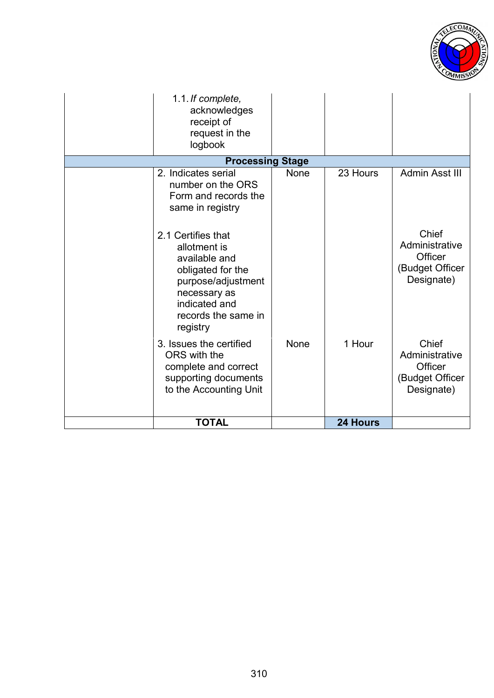

| 1.1. If complete,<br>acknowledges<br>receipt of<br>request in the<br>logbook                                                                                                           |             |                 |                                                                                       |
|----------------------------------------------------------------------------------------------------------------------------------------------------------------------------------------|-------------|-----------------|---------------------------------------------------------------------------------------|
| <b>Processing Stage</b>                                                                                                                                                                |             |                 |                                                                                       |
| 2. Indicates serial<br>number on the ORS<br>Form and records the<br>same in registry<br>2.1 Certifies that<br>allotment is<br>available and<br>obligated for the<br>purpose/adjustment | <b>None</b> | 23 Hours        | Admin Asst III<br>Chief<br>Administrative<br>Officer<br>(Budget Officer<br>Designate) |
| necessary as<br>indicated and<br>records the same in<br>registry                                                                                                                       |             |                 |                                                                                       |
| 3. Issues the certified<br>ORS with the<br>complete and correct<br>supporting documents<br>to the Accounting Unit                                                                      | None        | 1 Hour          | Chief<br>Administrative<br><b>Officer</b><br>(Budget Officer<br>Designate)            |
| <b>TOTAL</b>                                                                                                                                                                           |             | <b>24 Hours</b> |                                                                                       |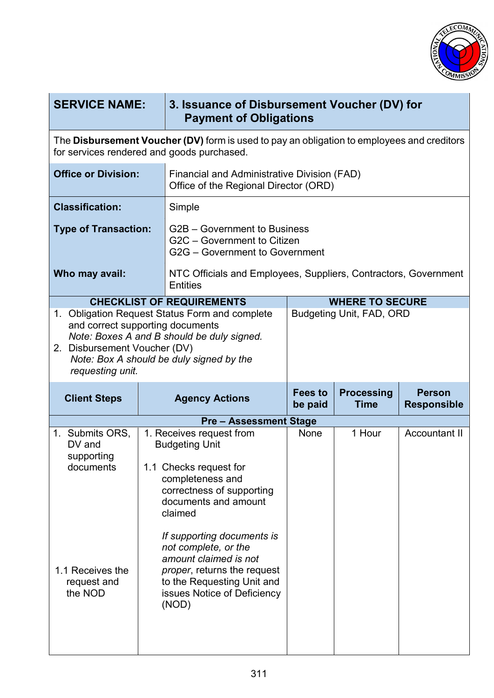

| <b>SERVICE NAME:</b>                                                                                                                                                                                                             |                                                                                                                                          | 3. Issuance of Disbursement Voucher (DV) for<br><b>Payment of Obligations</b>                                                            |                           |                                  |                                     |
|----------------------------------------------------------------------------------------------------------------------------------------------------------------------------------------------------------------------------------|------------------------------------------------------------------------------------------------------------------------------------------|------------------------------------------------------------------------------------------------------------------------------------------|---------------------------|----------------------------------|-------------------------------------|
|                                                                                                                                                                                                                                  | The Disbursement Voucher (DV) form is used to pay an obligation to employees and creditors<br>for services rendered and goods purchased. |                                                                                                                                          |                           |                                  |                                     |
| <b>Office or Division:</b>                                                                                                                                                                                                       |                                                                                                                                          | Financial and Administrative Division (FAD)<br>Office of the Regional Director (ORD)                                                     |                           |                                  |                                     |
| <b>Classification:</b>                                                                                                                                                                                                           |                                                                                                                                          | Simple                                                                                                                                   |                           |                                  |                                     |
| <b>Type of Transaction:</b>                                                                                                                                                                                                      |                                                                                                                                          | G2B – Government to Business<br>G2C - Government to Citizen<br>G2G - Government to Government                                            |                           |                                  |                                     |
| Who may avail:                                                                                                                                                                                                                   |                                                                                                                                          | NTC Officials and Employees, Suppliers, Contractors, Government<br><b>Entities</b>                                                       |                           |                                  |                                     |
|                                                                                                                                                                                                                                  |                                                                                                                                          | <b>CHECKLIST OF REQUIREMENTS</b>                                                                                                         |                           | <b>WHERE TO SECURE</b>           |                                     |
| 1. Obligation Request Status Form and complete<br>and correct supporting documents<br>Note: Boxes A and B should be duly signed.<br>2. Disbursement Voucher (DV)<br>Note: Box A should be duly signed by the<br>requesting unit. |                                                                                                                                          |                                                                                                                                          |                           | <b>Budgeting Unit, FAD, ORD</b>  |                                     |
|                                                                                                                                                                                                                                  |                                                                                                                                          |                                                                                                                                          |                           |                                  |                                     |
| <b>Client Steps</b>                                                                                                                                                                                                              |                                                                                                                                          | <b>Agency Actions</b>                                                                                                                    | <b>Fees to</b><br>be paid | <b>Processing</b><br><b>Time</b> | <b>Person</b><br><b>Responsible</b> |
|                                                                                                                                                                                                                                  |                                                                                                                                          |                                                                                                                                          |                           |                                  |                                     |
| 1. Submits ORS,<br>$DV$ and                                                                                                                                                                                                      |                                                                                                                                          | <b>Pre-Assessment Stage</b><br>1. Receives request from<br><b>Budgeting Unit</b>                                                         | None                      | 1 Hour                           | <b>Accountant II</b>                |
| supporting<br>documents                                                                                                                                                                                                          |                                                                                                                                          | 1.1 Checks request for<br>completeness and<br>correctness of supporting<br>documents and amount<br>claimed<br>If supporting documents is |                           |                                  |                                     |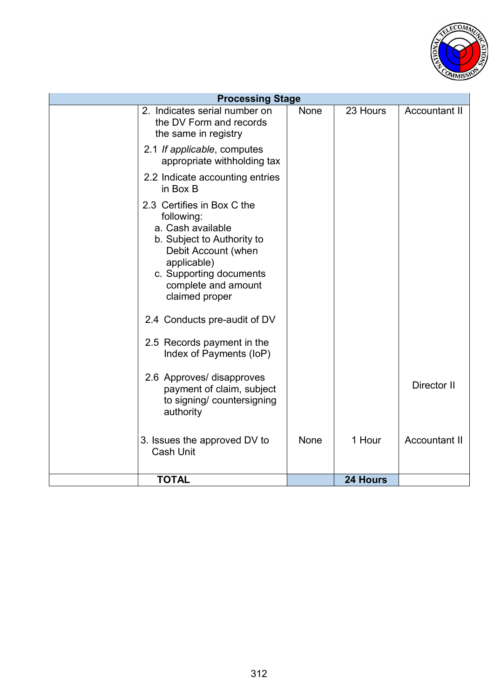

| <b>Processing Stage</b>                                                                                                                                                                                                                                                                        |             |          |                      |
|------------------------------------------------------------------------------------------------------------------------------------------------------------------------------------------------------------------------------------------------------------------------------------------------|-------------|----------|----------------------|
| 2. Indicates serial number on<br>the DV Form and records<br>the same in registry                                                                                                                                                                                                               | None        | 23 Hours | <b>Accountant II</b> |
| 2.1 If applicable, computes<br>appropriate withholding tax                                                                                                                                                                                                                                     |             |          |                      |
| 2.2 Indicate accounting entries<br>in Box B                                                                                                                                                                                                                                                    |             |          |                      |
| 2.3 Certifies in Box C the<br>following:<br>a. Cash available<br>b. Subject to Authority to<br>Debit Account (when<br>applicable)<br>c. Supporting documents<br>complete and amount<br>claimed proper<br>2.4 Conducts pre-audit of DV<br>2.5 Records payment in the<br>Index of Payments (IoP) |             |          |                      |
| 2.6 Approves/ disapproves<br>payment of claim, subject<br>to signing/ countersigning<br>authority                                                                                                                                                                                              |             |          | Director II          |
| 3. Issues the approved DV to<br><b>Cash Unit</b>                                                                                                                                                                                                                                               | <b>None</b> | 1 Hour   | <b>Accountant II</b> |
| <b>TOTAL</b>                                                                                                                                                                                                                                                                                   |             | 24 Hours |                      |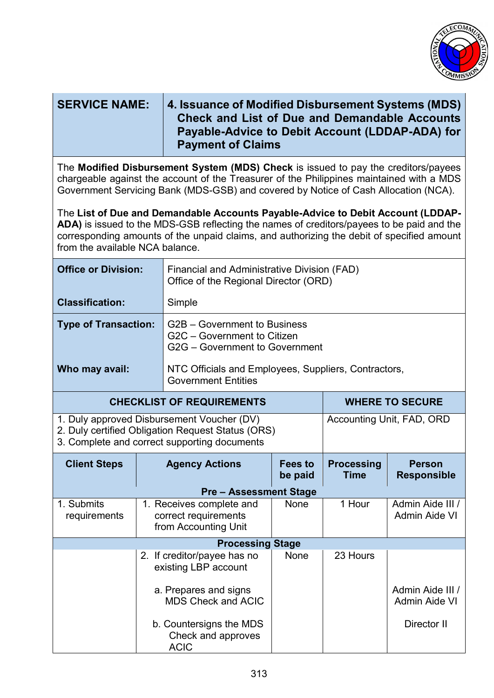

| <b>SERVICE NAME:</b>                                                                                                                                                                                                                                                                                         |                                                                                                                                                 | 4. Issuance of Modified Disbursement Systems (MDS)<br><b>Check and List of Due and Demandable Accounts</b><br>Payable-Advice to Debit Account (LDDAP-ADA) for<br><b>Payment of Claims</b> |                           |                                  |                                          |
|--------------------------------------------------------------------------------------------------------------------------------------------------------------------------------------------------------------------------------------------------------------------------------------------------------------|-------------------------------------------------------------------------------------------------------------------------------------------------|-------------------------------------------------------------------------------------------------------------------------------------------------------------------------------------------|---------------------------|----------------------------------|------------------------------------------|
| The Modified Disbursement System (MDS) Check is issued to pay the creditors/payees<br>chargeable against the account of the Treasurer of the Philippines maintained with a MDS<br>Government Servicing Bank (MDS-GSB) and covered by Notice of Cash Allocation (NCA).                                        |                                                                                                                                                 |                                                                                                                                                                                           |                           |                                  |                                          |
| The List of Due and Demandable Accounts Payable-Advice to Debit Account (LDDAP-<br>ADA) is issued to the MDS-GSB reflecting the names of creditors/payees to be paid and the<br>corresponding amounts of the unpaid claims, and authorizing the debit of specified amount<br>from the available NCA balance. |                                                                                                                                                 |                                                                                                                                                                                           |                           |                                  |                                          |
| <b>Office or Division:</b>                                                                                                                                                                                                                                                                                   |                                                                                                                                                 | Financial and Administrative Division (FAD)<br>Office of the Regional Director (ORD)                                                                                                      |                           |                                  |                                          |
| <b>Classification:</b>                                                                                                                                                                                                                                                                                       |                                                                                                                                                 | Simple                                                                                                                                                                                    |                           |                                  |                                          |
| <b>Type of Transaction:</b>                                                                                                                                                                                                                                                                                  |                                                                                                                                                 | G2B – Government to Business<br>G2C - Government to Citizen<br>G2G - Government to Government                                                                                             |                           |                                  |                                          |
| Who may avail:                                                                                                                                                                                                                                                                                               |                                                                                                                                                 | NTC Officials and Employees, Suppliers, Contractors,<br><b>Government Entities</b>                                                                                                        |                           |                                  |                                          |
|                                                                                                                                                                                                                                                                                                              |                                                                                                                                                 | <b>CHECKLIST OF REQUIREMENTS</b>                                                                                                                                                          |                           |                                  | <b>WHERE TO SECURE</b>                   |
|                                                                                                                                                                                                                                                                                                              | 1. Duly approved Disbursement Voucher (DV)<br>2. Duly certified Obligation Request Status (ORS)<br>3. Complete and correct supporting documents |                                                                                                                                                                                           |                           |                                  | Accounting Unit, FAD, ORD                |
| <b>Client Steps</b>                                                                                                                                                                                                                                                                                          |                                                                                                                                                 | <b>Agency Actions</b>                                                                                                                                                                     | <b>Fees to</b><br>be paid | <b>Processing</b><br><b>Time</b> | <b>Person</b><br><b>Responsible</b>      |
|                                                                                                                                                                                                                                                                                                              |                                                                                                                                                 | <b>Pre - Assessment Stage</b>                                                                                                                                                             |                           |                                  |                                          |
| 1. Submits<br>requirements                                                                                                                                                                                                                                                                                   |                                                                                                                                                 | 1. Receives complete and<br>correct requirements<br>from Accounting Unit                                                                                                                  | None                      | 1 Hour                           | Admin Aide III /<br><b>Admin Aide VI</b> |
|                                                                                                                                                                                                                                                                                                              |                                                                                                                                                 | <b>Processing Stage</b>                                                                                                                                                                   |                           |                                  |                                          |
|                                                                                                                                                                                                                                                                                                              |                                                                                                                                                 | 2. If creditor/payee has no<br>existing LBP account                                                                                                                                       | None                      | 23 Hours                         |                                          |
|                                                                                                                                                                                                                                                                                                              |                                                                                                                                                 | a. Prepares and signs<br><b>MDS Check and ACIC</b>                                                                                                                                        |                           |                                  | Admin Aide III /<br><b>Admin Aide VI</b> |
|                                                                                                                                                                                                                                                                                                              |                                                                                                                                                 | b. Countersigns the MDS<br>Check and approves<br><b>ACIC</b>                                                                                                                              |                           |                                  | Director II                              |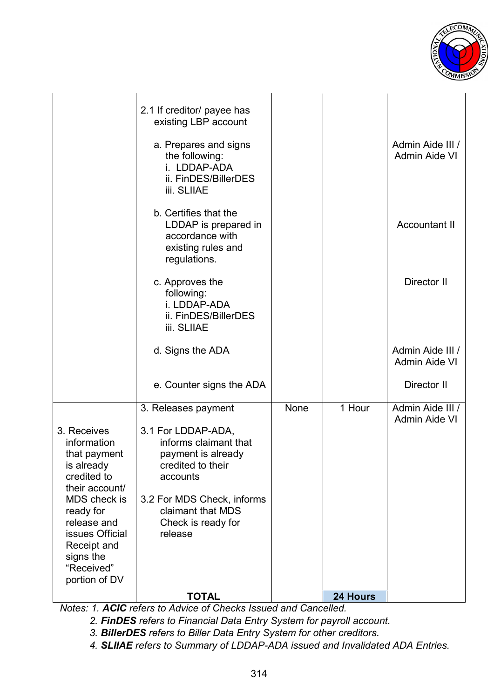

|                                | 2.1 If creditor/ payee has<br>existing LBP account |      |          |                                          |
|--------------------------------|----------------------------------------------------|------|----------|------------------------------------------|
|                                | a. Prepares and signs                              |      |          | Admin Aide III /                         |
|                                | the following:                                     |      |          | Admin Aide VI                            |
|                                | i. LDDAP-ADA<br>ii. FinDES/BillerDES               |      |          |                                          |
|                                | <b>iii. SLIIAE</b>                                 |      |          |                                          |
|                                | b. Certifies that the                              |      |          |                                          |
|                                | LDDAP is prepared in                               |      |          | <b>Accountant II</b>                     |
|                                | accordance with<br>existing rules and              |      |          |                                          |
|                                | regulations.                                       |      |          |                                          |
|                                | c. Approves the                                    |      |          | Director II                              |
|                                | following:<br>i. LDDAP-ADA                         |      |          |                                          |
|                                | ii. FinDES/BillerDES                               |      |          |                                          |
|                                | <b>iii. SLIIAE</b>                                 |      |          |                                          |
|                                | d. Signs the ADA                                   |      |          | Admin Aide III /<br><b>Admin Aide VI</b> |
|                                |                                                    |      |          |                                          |
|                                | e. Counter signs the ADA                           |      |          | Director II                              |
|                                | 3. Releases payment                                | None | 1 Hour   | Admin Aide III /<br><b>Admin Aide VI</b> |
| 3. Receives                    | 3.1 For LDDAP-ADA,                                 |      |          |                                          |
| information                    | informs claimant that                              |      |          |                                          |
| that payment<br>is already     | payment is already<br>credited to their            |      |          |                                          |
| credited to                    | accounts                                           |      |          |                                          |
| their account/<br>MDS check is | 3.2 For MDS Check, informs                         |      |          |                                          |
| ready for                      | claimant that MDS                                  |      |          |                                          |
| release and                    | Check is ready for                                 |      |          |                                          |
| issues Official<br>Receipt and | release                                            |      |          |                                          |
| signs the                      |                                                    |      |          |                                          |
| "Received"                     |                                                    |      |          |                                          |
| portion of DV                  |                                                    |      |          |                                          |
|                                | <b>TOTAL</b>                                       |      | 24 Hours |                                          |

*Notes: 1. ACIC refers to Advice of Checks Issued and Cancelled.*

*2. FinDES refers to Financial Data Entry System for payroll account.* 

*3. BillerDES refers to Biller Data Entry System for other creditors.* 

*4. SLIIAE refers to Summary of LDDAP-ADA issued and Invalidated ADA Entries.*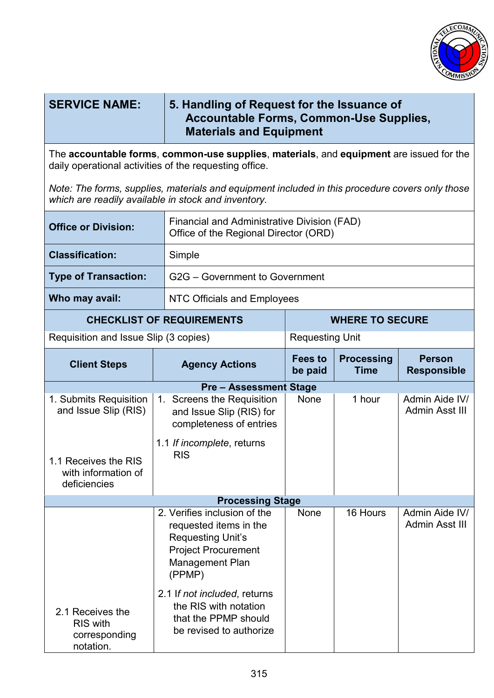

| <b>SERVICE NAME:</b>                                                                                                                                   | 5. Handling of Request for the Issuance of<br><b>Accountable Forms, Common-Use Supplies,</b><br><b>Materials and Equipment</b>                    |                           |                                  |                                     |
|--------------------------------------------------------------------------------------------------------------------------------------------------------|---------------------------------------------------------------------------------------------------------------------------------------------------|---------------------------|----------------------------------|-------------------------------------|
|                                                                                                                                                        | The accountable forms, common-use supplies, materials, and equipment are issued for the<br>daily operational activities of the requesting office. |                           |                                  |                                     |
| Note: The forms, supplies, materials and equipment included in this procedure covers only those<br>which are readily available in stock and inventory. |                                                                                                                                                   |                           |                                  |                                     |
| <b>Office or Division:</b>                                                                                                                             | Financial and Administrative Division (FAD)<br>Office of the Regional Director (ORD)                                                              |                           |                                  |                                     |
| <b>Classification:</b>                                                                                                                                 | Simple                                                                                                                                            |                           |                                  |                                     |
| <b>Type of Transaction:</b>                                                                                                                            | G2G - Government to Government                                                                                                                    |                           |                                  |                                     |
| Who may avail:                                                                                                                                         | <b>NTC Officials and Employees</b>                                                                                                                |                           |                                  |                                     |
| <b>CHECKLIST OF REQUIREMENTS</b>                                                                                                                       |                                                                                                                                                   | <b>WHERE TO SECURE</b>    |                                  |                                     |
| Requisition and Issue Slip (3 copies)                                                                                                                  | <b>Requesting Unit</b>                                                                                                                            |                           |                                  |                                     |
| <b>Client Steps</b>                                                                                                                                    | <b>Agency Actions</b>                                                                                                                             | <b>Fees to</b><br>be paid | <b>Processing</b><br><b>Time</b> | <b>Person</b><br><b>Responsible</b> |
|                                                                                                                                                        | <b>Pre - Assessment Stage</b>                                                                                                                     |                           |                                  |                                     |
| 1. Submits Requisition<br>and Issue Slip (RIS)                                                                                                         | 1. Screens the Requisition<br>and Issue Slip (RIS) for<br>completeness of entries                                                                 | None                      | 1 hour                           | Admin Aide IV/<br>Admin Asst III    |
| 1.1 Receives the RIS<br>with information of<br>deficiencies                                                                                            | 1.1 If incomplete, returns<br><b>RIS</b>                                                                                                          |                           |                                  |                                     |
|                                                                                                                                                        | <b>Processing Stage</b>                                                                                                                           |                           |                                  |                                     |
|                                                                                                                                                        | 2. Verifies inclusion of the<br>requested items in the<br><b>Requesting Unit's</b><br><b>Project Procurement</b><br>Management Plan<br>(PPMP)     | <b>None</b>               | 16 Hours                         | Admin Aide IV/<br>Admin Asst III    |
| 2.1 Receives the<br><b>RIS</b> with<br>corresponding<br>notation.                                                                                      | 2.1 If not included, returns<br>the RIS with notation<br>that the PPMP should<br>be revised to authorize                                          |                           |                                  |                                     |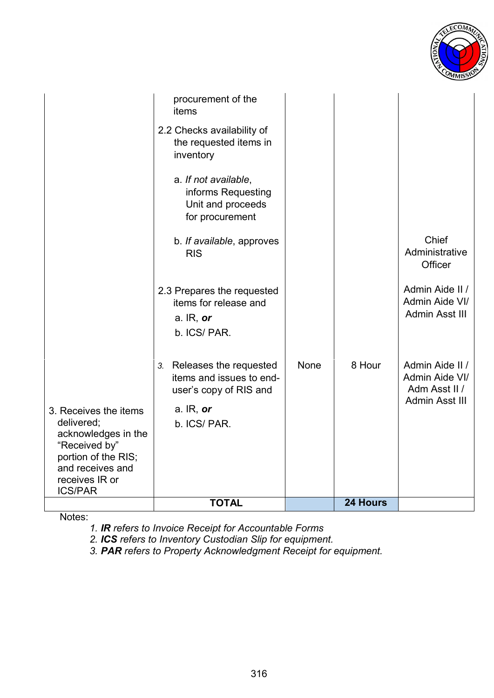

|                                                                                                                                                            | <b>TOTAL</b>                                                                                     |             | 24 Hours |                                                     |
|------------------------------------------------------------------------------------------------------------------------------------------------------------|--------------------------------------------------------------------------------------------------|-------------|----------|-----------------------------------------------------|
| 3. Receives the items<br>delivered;<br>acknowledges in the<br>"Received by"<br>portion of the RIS;<br>and receives and<br>receives IR or<br><b>ICS/PAR</b> | user's copy of RIS and<br>a. $IR$ , or<br>b. ICS/PAR.                                            |             |          | Adm Asst II /<br>Admin Asst III                     |
|                                                                                                                                                            | Releases the requested<br>3.<br>items and issues to end-                                         | <b>None</b> | 8 Hour   | Admin Aide II /<br>Admin Aide VI/                   |
|                                                                                                                                                            | 2.3 Prepares the requested<br>items for release and<br>a. $IR$ , or<br>b. ICS/PAR.               |             |          | Admin Aide II /<br>Admin Aide VI/<br>Admin Asst III |
|                                                                                                                                                            | b. If available, approves<br><b>RIS</b>                                                          |             |          | Chief<br>Administrative<br>Officer                  |
|                                                                                                                                                            | a. If not available,<br>informs Requesting<br>Unit and proceeds<br>for procurement               |             |          |                                                     |
|                                                                                                                                                            | procurement of the<br>items<br>2.2 Checks availability of<br>the requested items in<br>inventory |             |          |                                                     |
|                                                                                                                                                            |                                                                                                  |             |          |                                                     |

Notes:

*1. IR refers to Invoice Receipt for Accountable Forms*

*2. ICS refers to Inventory Custodian Slip for equipment.* 

*3. PAR refers to Property Acknowledgment Receipt for equipment.*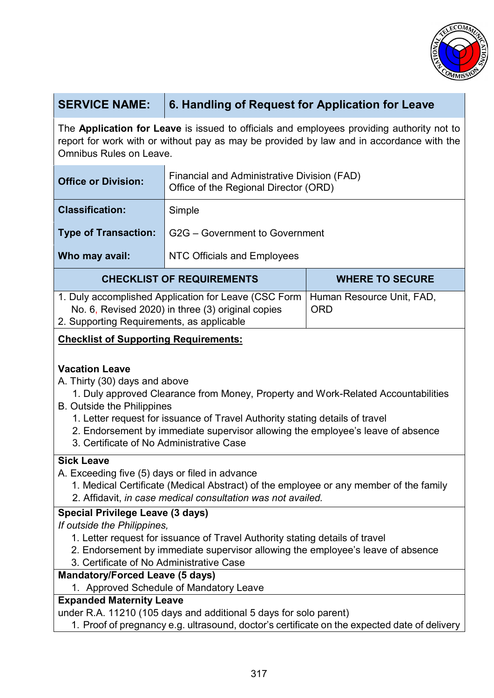

# **SERVICE NAME: 6. Handling of Request for Application for Leave**

The **Application for Leave** is issued to officials and employees providing authority not to report for work with or without pay as may be provided by law and in accordance with the Omnibus Rules on Leave.

| <b>Office or Division:</b>                                                                                | Financial and Administrative Division (FAD)<br>Office of the Regional Director (ORD) |                                         |  |
|-----------------------------------------------------------------------------------------------------------|--------------------------------------------------------------------------------------|-----------------------------------------|--|
| <b>Classification:</b>                                                                                    | Simple                                                                               |                                         |  |
| <b>Type of Transaction:</b>                                                                               | G2G – Government to Government                                                       |                                         |  |
| Who may avail:                                                                                            | <b>NTC Officials and Employees</b>                                                   |                                         |  |
| <b>CHECKLIST OF REQUIREMENTS</b>                                                                          |                                                                                      | <b>WHERE TO SECURE</b>                  |  |
| 1. Duly accomplished Application for Leave (CSC Form<br>No. 6, Revised 2020) in three (3) original copies |                                                                                      | Human Resource Unit, FAD,<br><b>ORD</b> |  |

No. 6, Revised 2020) in three (3) original copies

2. Supporting Requirements, as applicable

### **Checklist of Supporting Requirements:**

#### **Vacation Leave**

A. Thirty (30) days and above

- 1. Duly approved Clearance from Money, Property and Work-Related Accountabilities
- B. Outside the Philippines
	- 1. Letter request for issuance of Travel Authority stating details of travel
	- 2. Endorsement by immediate supervisor allowing the employee's leave of absence
	- 3. Certificate of No Administrative Case

#### **Sick Leave**

- A. Exceeding five (5) days or filed in advance
	- 1. Medical Certificate (Medical Abstract) of the employee or any member of the family 2. Affidavit, *in case medical consultation was not availed.*

## **Special Privilege Leave (3 days)**

*If outside the Philippines,*

- 1. Letter request for issuance of Travel Authority stating details of travel
- 2. Endorsement by immediate supervisor allowing the employee's leave of absence
- 3. Certificate of No Administrative Case

#### **Mandatory/Forced Leave (5 days)**

1. Approved Schedule of Mandatory Leave

#### **Expanded Maternity Leave**

under R.A. 11210 (105 days and additional 5 days for solo parent)

1. Proof of pregnancy e.g. ultrasound, doctor's certificate on the expected date of delivery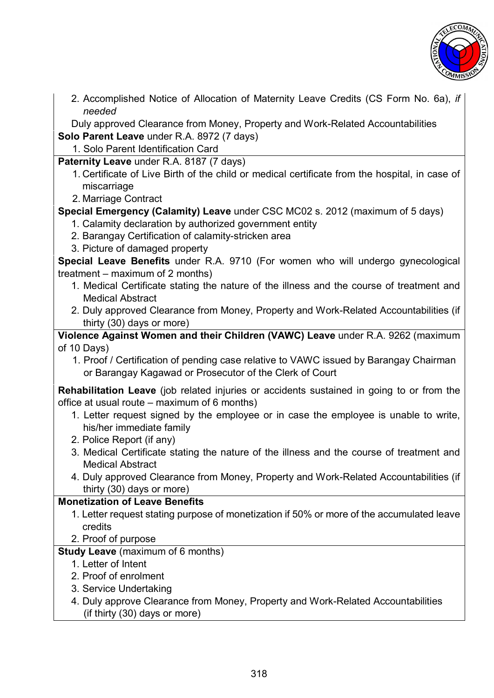

2. Accomplished Notice of Allocation of Maternity Leave Credits (CS Form No. 6a), *if needed*

Duly approved Clearance from Money, Property and Work-Related Accountabilities

**Solo Parent Leave** under R.A. 8972 (7 days)

1. Solo Parent Identification Card

**Paternity Leave** under R.A. 8187 (7 days)

- 1. Certificate of Live Birth of the child or medical certificate from the hospital, in case of miscarriage
- 2. Marriage Contract

**Special Emergency (Calamity) Leave** under CSC MC02 s. 2012 (maximum of 5 days)

- 1. Calamity declaration by authorized government entity
- 2. Barangay Certification of calamity-stricken area
- 3. Picture of damaged property

**Special Leave Benefits** under R.A. 9710 (For women who will undergo gynecological treatment – maximum of 2 months)

- 1. Medical Certificate stating the nature of the illness and the course of treatment and Medical Abstract
- 2. Duly approved Clearance from Money, Property and Work-Related Accountabilities (if thirty (30) days or more)

**Violence Against Women and their Children (VAWC) Leave** under R.A. 9262 (maximum of 10 Days)

1. Proof / Certification of pending case relative to VAWC issued by Barangay Chairman or Barangay Kagawad or Prosecutor of the Clerk of Court

**Rehabilitation Leave** (job related injuries or accidents sustained in going to or from the office at usual route – maximum of 6 months)

- 1. Letter request signed by the employee or in case the employee is unable to write, his/her immediate family
- 2. Police Report (if any)
- 3. Medical Certificate stating the nature of the illness and the course of treatment and Medical Abstract
- 4. Duly approved Clearance from Money, Property and Work-Related Accountabilities (if thirty (30) days or more)

## **Monetization of Leave Benefits**

- 1. Letter request stating purpose of monetization if 50% or more of the accumulated leave credits
- 2. Proof of purpose

#### **Study Leave** (maximum of 6 months)

- 1. Letter of Intent
- 2. Proof of enrolment
- 3. Service Undertaking
- 4. Duly approve Clearance from Money, Property and Work-Related Accountabilities (if thirty (30) days or more)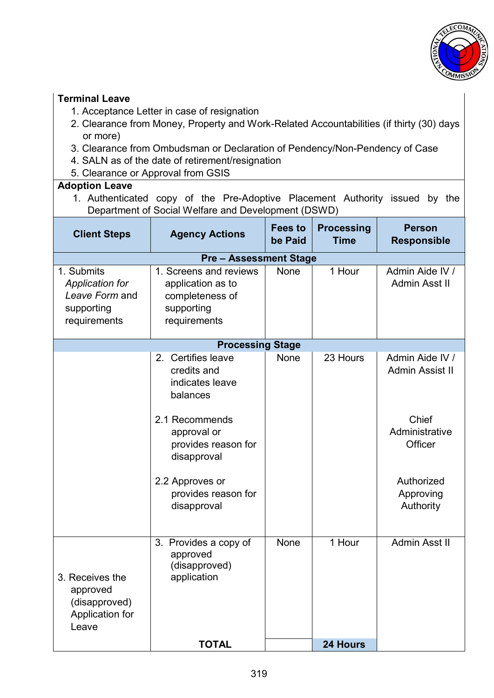

#### **Terminal Leave**

- 1. Acceptance Letter in case of resignation
- 2. Clearance from Money, Property and Work-Related Accountabilities (if thirty (30) days or more)
- 3. Clearance from Ombudsman or Declaration of Pendency/Non-Pendency of Case
- 4. SALN as of the date of retirement/resignation
- 5. Clearance or Approval from GSIS

#### **Adoption Leave**

1. Authenticated copy of the Pre-Adoptive Placement Authority issued by the Department of Social Welfare and Development (DSWD)

| <b>Client Steps</b>                                                           | <b>Agency Actions</b>                                                                                                                                                                            | <b>Fees to</b><br>be Paid | <b>Processing</b><br><b>Time</b> | <b>Person</b><br><b>Responsible</b>                                                                                     |  |  |
|-------------------------------------------------------------------------------|--------------------------------------------------------------------------------------------------------------------------------------------------------------------------------------------------|---------------------------|----------------------------------|-------------------------------------------------------------------------------------------------------------------------|--|--|
|                                                                               | <b>Pre - Assessment Stage</b>                                                                                                                                                                    |                           |                                  |                                                                                                                         |  |  |
| 1. Submits<br>Application for<br>Leave Form and<br>supporting<br>requirements | 1. Screens and reviews<br>application as to<br>completeness of<br>supporting<br>requirements                                                                                                     | None                      | 1 Hour                           | Admin Aide IV /<br>Admin Asst II                                                                                        |  |  |
|                                                                               | <b>Processing Stage</b>                                                                                                                                                                          |                           |                                  |                                                                                                                         |  |  |
|                                                                               | 2. Certifies leave<br>credits and<br>indicates leave<br>balances<br>2.1 Recommends<br>approval or<br>provides reason for<br>disapproval<br>2.2 Approves or<br>provides reason for<br>disapproval | None                      | 23 Hours                         | Admin Aide IV /<br><b>Admin Assist II</b><br>Chief<br>Administrative<br>Officer<br>Authorized<br>Approving<br>Authority |  |  |
| 3. Receives the<br>approved<br>(disapproved)<br>Application for<br>Leave      | 3. Provides a copy of<br>approved<br>(disapproved)<br>application                                                                                                                                | None                      | 1 Hour                           | Admin Asst II                                                                                                           |  |  |
|                                                                               | <b>TOTAL</b>                                                                                                                                                                                     |                           | 24 Hours                         |                                                                                                                         |  |  |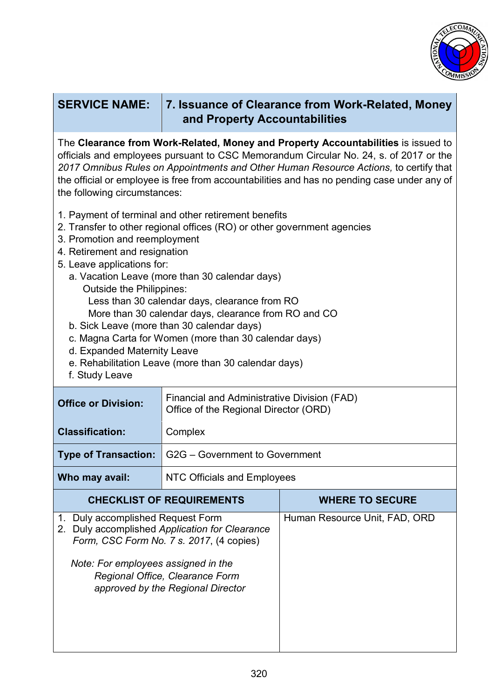

| <b>SERVICE NAME:</b>                                                                                                                                                                                                                                                                                                                                                                                                                                                                                                                                                                                                                          | 7. Issuance of Clearance from Work-Related, Money<br>and Property Accountabilities   |                               |  |
|-----------------------------------------------------------------------------------------------------------------------------------------------------------------------------------------------------------------------------------------------------------------------------------------------------------------------------------------------------------------------------------------------------------------------------------------------------------------------------------------------------------------------------------------------------------------------------------------------------------------------------------------------|--------------------------------------------------------------------------------------|-------------------------------|--|
| The Clearance from Work-Related, Money and Property Accountabilities is issued to<br>officials and employees pursuant to CSC Memorandum Circular No. 24, s. of 2017 or the<br>2017 Omnibus Rules on Appointments and Other Human Resource Actions, to certify that<br>the official or employee is free from accountabilities and has no pending case under any of<br>the following circumstances:                                                                                                                                                                                                                                             |                                                                                      |                               |  |
| 1. Payment of terminal and other retirement benefits<br>2. Transfer to other regional offices (RO) or other government agencies<br>3. Promotion and reemployment<br>4. Retirement and resignation<br>5. Leave applications for:<br>a. Vacation Leave (more than 30 calendar days)<br><b>Outside the Philippines:</b><br>Less than 30 calendar days, clearance from RO<br>More than 30 calendar days, clearance from RO and CO<br>b. Sick Leave (more than 30 calendar days)<br>c. Magna Carta for Women (more than 30 calendar days)<br>d. Expanded Maternity Leave<br>e. Rehabilitation Leave (more than 30 calendar days)<br>f. Study Leave |                                                                                      |                               |  |
| <b>Office or Division:</b>                                                                                                                                                                                                                                                                                                                                                                                                                                                                                                                                                                                                                    | Financial and Administrative Division (FAD)<br>Office of the Regional Director (ORD) |                               |  |
| <b>Classification:</b>                                                                                                                                                                                                                                                                                                                                                                                                                                                                                                                                                                                                                        | Complex                                                                              |                               |  |
| <b>Type of Transaction:</b>                                                                                                                                                                                                                                                                                                                                                                                                                                                                                                                                                                                                                   | G2G - Government to Government                                                       |                               |  |
| Who may avail:                                                                                                                                                                                                                                                                                                                                                                                                                                                                                                                                                                                                                                | <b>NTC Officials and Employees</b>                                                   |                               |  |
|                                                                                                                                                                                                                                                                                                                                                                                                                                                                                                                                                                                                                                               |                                                                                      | <b>WHERE TO SECURE</b>        |  |
| <b>CHECKLIST OF REQUIREMENTS</b><br>1. Duly accomplished Request Form<br>2. Duly accomplished Application for Clearance<br>Form, CSC Form No. 7 s. 2017, (4 copies)<br>Note: For employees assigned in the<br>Regional Office, Clearance Form<br>approved by the Regional Director                                                                                                                                                                                                                                                                                                                                                            |                                                                                      | Human Resource Unit, FAD, ORD |  |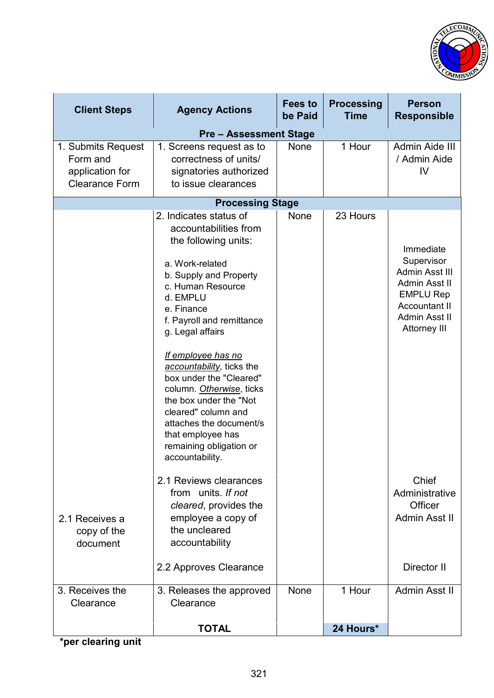

| <b>Client Steps</b>                                                        | <b>Agency Actions</b>                                                                                                                                                                                                                                                                                                                                                                                                                                                         | <b>Fees to</b><br>be Paid | <b>Processing</b><br><b>Time</b> | <b>Person</b><br><b>Responsible</b>                                                                                                     |
|----------------------------------------------------------------------------|-------------------------------------------------------------------------------------------------------------------------------------------------------------------------------------------------------------------------------------------------------------------------------------------------------------------------------------------------------------------------------------------------------------------------------------------------------------------------------|---------------------------|----------------------------------|-----------------------------------------------------------------------------------------------------------------------------------------|
|                                                                            | <b>Pre-Assessment Stage</b>                                                                                                                                                                                                                                                                                                                                                                                                                                                   |                           |                                  |                                                                                                                                         |
| 1. Submits Request<br>Form and<br>application for<br><b>Clearance Form</b> | 1. Screens request as to<br>correctness of units/<br>signatories authorized<br>to issue clearances                                                                                                                                                                                                                                                                                                                                                                            | None                      | 1 Hour                           | Admin Aide III<br>/ Admin Aide<br>IV                                                                                                    |
|                                                                            | <b>Processing Stage</b>                                                                                                                                                                                                                                                                                                                                                                                                                                                       |                           |                                  |                                                                                                                                         |
|                                                                            | 2. Indicates status of<br>accountabilities from<br>the following units:<br>a. Work-related<br>b. Supply and Property<br>c. Human Resource<br>d. EMPLU<br>e. Finance<br>f. Payroll and remittance<br>g. Legal affairs<br>If employee has no<br>accountability, ticks the<br>box under the "Cleared"<br>column. Otherwise, ticks<br>the box under the "Not<br>cleared" column and<br>attaches the document/s<br>that employee has<br>remaining obligation or<br>accountability. | None                      | 23 Hours                         | Immediate<br>Supervisor<br>Admin Asst III<br>Admin Asst II<br><b>EMPLU Rep</b><br><b>Accountant II</b><br>Admin Asst II<br>Attorney III |
| 2.1 Receives a<br>copy of the<br>document                                  | 2.1 Reviews clearances<br>from units. If not<br>cleared, provides the<br>employee a copy of<br>the uncleared<br>accountability<br>2.2 Approves Clearance                                                                                                                                                                                                                                                                                                                      |                           |                                  | Chief<br>Administrative<br>Officer<br>Admin Asst II<br>Director II                                                                      |
| 3. Receives the<br>Clearance                                               | 3. Releases the approved<br>Clearance                                                                                                                                                                                                                                                                                                                                                                                                                                         | <b>None</b>               | 1 Hour                           | Admin Asst II                                                                                                                           |
|                                                                            | <b>TOTAL</b>                                                                                                                                                                                                                                                                                                                                                                                                                                                                  |                           | 24 Hours*                        |                                                                                                                                         |

**\*per clearing unit**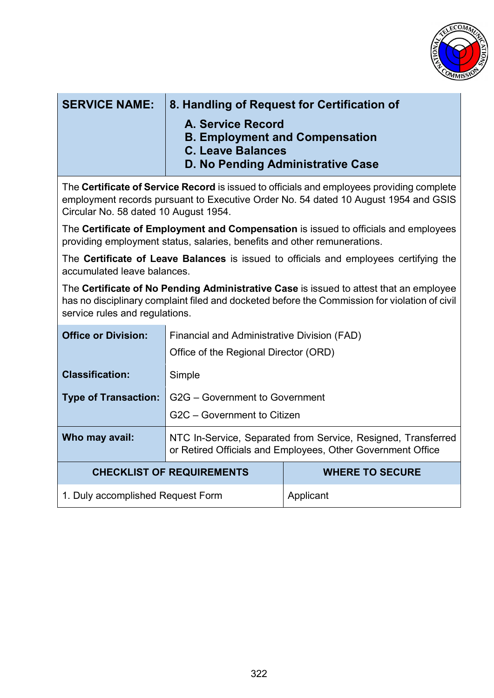

| <b>SERVICE NAME:</b>                                                                                                                                                                                                      | 8. Handling of Request for Certification of<br>A. Service Record<br><b>B. Employment and Compensation</b><br><b>C. Leave Balances</b><br>D. No Pending Administrative Case |                        |  |
|---------------------------------------------------------------------------------------------------------------------------------------------------------------------------------------------------------------------------|----------------------------------------------------------------------------------------------------------------------------------------------------------------------------|------------------------|--|
| The Certificate of Service Record is issued to officials and employees providing complete<br>employment records pursuant to Executive Order No. 54 dated 10 August 1954 and GSIS<br>Circular No. 58 dated 10 August 1954. |                                                                                                                                                                            |                        |  |
| The Certificate of Employment and Compensation is issued to officials and employees<br>providing employment status, salaries, benefits and other remunerations.                                                           |                                                                                                                                                                            |                        |  |
| The <b>Certificate of Leave Balances</b> is issued to officials and employees certifying the<br>accumulated leave balances.                                                                                               |                                                                                                                                                                            |                        |  |
| The Certificate of No Pending Administrative Case is issued to attest that an employee<br>has no disciplinary complaint filed and docketed before the Commission for violation of civil<br>service rules and regulations. |                                                                                                                                                                            |                        |  |
| <b>Office or Division:</b>                                                                                                                                                                                                | <b>Financial and Administrative Division (FAD)</b><br>Office of the Regional Director (ORD)                                                                                |                        |  |
| <b>Classification:</b>                                                                                                                                                                                                    | Simple                                                                                                                                                                     |                        |  |
| <b>Type of Transaction:</b>                                                                                                                                                                                               | G2G - Government to Government<br>G2C - Government to Citizen                                                                                                              |                        |  |
| Who may avail:                                                                                                                                                                                                            | NTC In-Service, Separated from Service, Resigned, Transferred<br>or Retired Officials and Employees, Other Government Office                                               |                        |  |
| <b>CHECKLIST OF REQUIREMENTS</b>                                                                                                                                                                                          |                                                                                                                                                                            | <b>WHERE TO SECURE</b> |  |
| 1. Duly accomplished Request Form                                                                                                                                                                                         |                                                                                                                                                                            | Applicant              |  |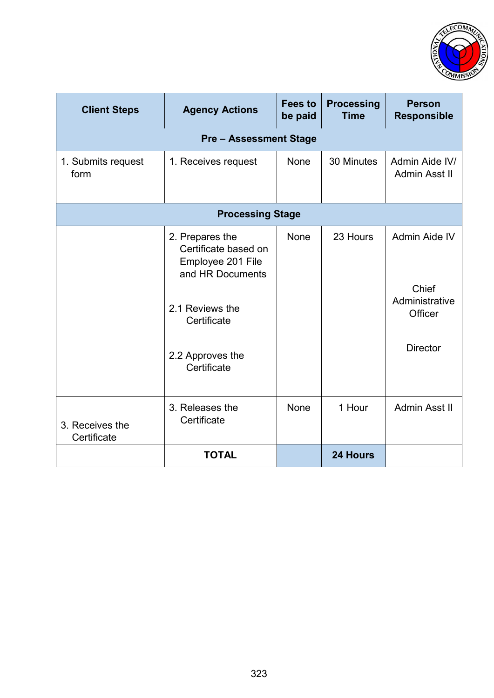

| <b>Client Steps</b>            | <b>Agency Actions</b>                                                                                                                                 | <b>Fees to</b><br>be paid | <b>Processing</b><br><b>Time</b> | <b>Person</b><br><b>Responsible</b>                                    |  |
|--------------------------------|-------------------------------------------------------------------------------------------------------------------------------------------------------|---------------------------|----------------------------------|------------------------------------------------------------------------|--|
| <b>Pre-Assessment Stage</b>    |                                                                                                                                                       |                           |                                  |                                                                        |  |
| 1. Submits request<br>form     | 1. Receives request                                                                                                                                   | <b>None</b>               | 30 Minutes                       | Admin Aide IV/<br>Admin Asst II                                        |  |
| <b>Processing Stage</b>        |                                                                                                                                                       |                           |                                  |                                                                        |  |
|                                | 2. Prepares the<br>Certificate based on<br>Employee 201 File<br>and HR Documents<br>2.1 Reviews the<br>Certificate<br>2.2 Approves the<br>Certificate | <b>None</b>               | 23 Hours                         | Admin Aide IV<br>Chief<br>Administrative<br>Officer<br><b>Director</b> |  |
| 3. Receives the<br>Certificate | 3. Releases the<br>Certificate                                                                                                                        | None                      | 1 Hour                           | Admin Asst II                                                          |  |
|                                | <b>TOTAL</b>                                                                                                                                          |                           | 24 Hours                         |                                                                        |  |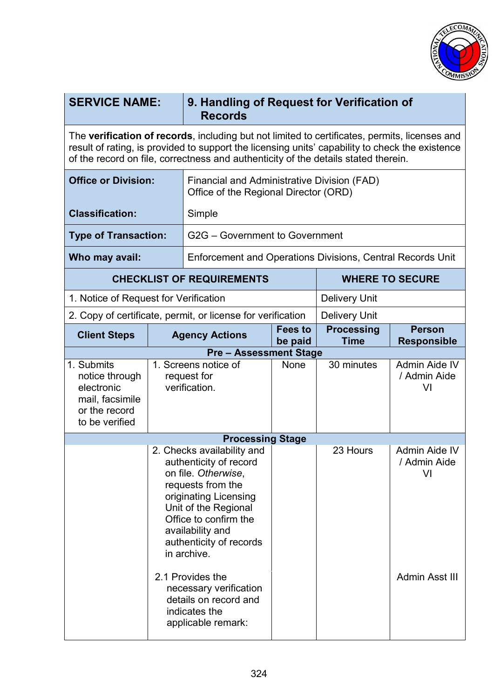

| <b>SERVICE NAME:</b>                                                                                                                                                                                                                                                                   |                                                                                                                                                                                                                                          | 9. Handling of Request for Verification of<br><b>Records</b>                                               |                    |                                                                  |                                     |  |
|----------------------------------------------------------------------------------------------------------------------------------------------------------------------------------------------------------------------------------------------------------------------------------------|------------------------------------------------------------------------------------------------------------------------------------------------------------------------------------------------------------------------------------------|------------------------------------------------------------------------------------------------------------|--------------------|------------------------------------------------------------------|-------------------------------------|--|
| The verification of records, including but not limited to certificates, permits, licenses and<br>result of rating, is provided to support the licensing units' capability to check the existence<br>of the record on file, correctness and authenticity of the details stated therein. |                                                                                                                                                                                                                                          |                                                                                                            |                    |                                                                  |                                     |  |
| <b>Office or Division:</b>                                                                                                                                                                                                                                                             |                                                                                                                                                                                                                                          | Financial and Administrative Division (FAD)<br>Office of the Regional Director (ORD)                       |                    |                                                                  |                                     |  |
| <b>Classification:</b>                                                                                                                                                                                                                                                                 |                                                                                                                                                                                                                                          | Simple                                                                                                     |                    |                                                                  |                                     |  |
| <b>Type of Transaction:</b>                                                                                                                                                                                                                                                            |                                                                                                                                                                                                                                          | G2G - Government to Government                                                                             |                    |                                                                  |                                     |  |
| Who may avail:                                                                                                                                                                                                                                                                         |                                                                                                                                                                                                                                          | <b>Enforcement and Operations Divisions, Central Records Unit</b>                                          |                    |                                                                  |                                     |  |
|                                                                                                                                                                                                                                                                                        |                                                                                                                                                                                                                                          | <b>CHECKLIST OF REQUIREMENTS</b>                                                                           |                    | <b>WHERE TO SECURE</b>                                           |                                     |  |
| 1. Notice of Request for Verification                                                                                                                                                                                                                                                  |                                                                                                                                                                                                                                          |                                                                                                            |                    | <b>Delivery Unit</b>                                             |                                     |  |
|                                                                                                                                                                                                                                                                                        |                                                                                                                                                                                                                                          | 2. Copy of certificate, permit, or license for verification                                                |                    | <b>Delivery Unit</b>                                             |                                     |  |
| <b>Client Steps</b>                                                                                                                                                                                                                                                                    |                                                                                                                                                                                                                                          | <b>Agency Actions</b>                                                                                      | Fees to<br>be paid | <b>Processing</b><br><b>Person</b><br>Time<br><b>Responsible</b> |                                     |  |
|                                                                                                                                                                                                                                                                                        |                                                                                                                                                                                                                                          | <b>Pre-Assessment Stage</b>                                                                                |                    |                                                                  |                                     |  |
| 1. Submits<br>notice through<br>electronic<br>mail, facsimile<br>or the record<br>to be verified                                                                                                                                                                                       | 1. Screens notice of<br>request for<br>verification.                                                                                                                                                                                     |                                                                                                            | None               | 30 minutes                                                       | Admin Aide IV<br>/ Admin Aide<br>VI |  |
| <b>Processing Stage</b>                                                                                                                                                                                                                                                                |                                                                                                                                                                                                                                          |                                                                                                            |                    |                                                                  |                                     |  |
|                                                                                                                                                                                                                                                                                        | 2. Checks availability and<br>authenticity of record<br>on file. Otherwise,<br>requests from the<br>originating Licensing<br>Unit of the Regional<br>Office to confirm the<br>availability and<br>authenticity of records<br>in archive. |                                                                                                            |                    | 23 Hours                                                         | Admin Aide IV<br>/ Admin Aide<br>VI |  |
|                                                                                                                                                                                                                                                                                        |                                                                                                                                                                                                                                          | 2.1 Provides the<br>necessary verification<br>details on record and<br>indicates the<br>applicable remark: |                    |                                                                  | Admin Asst III                      |  |